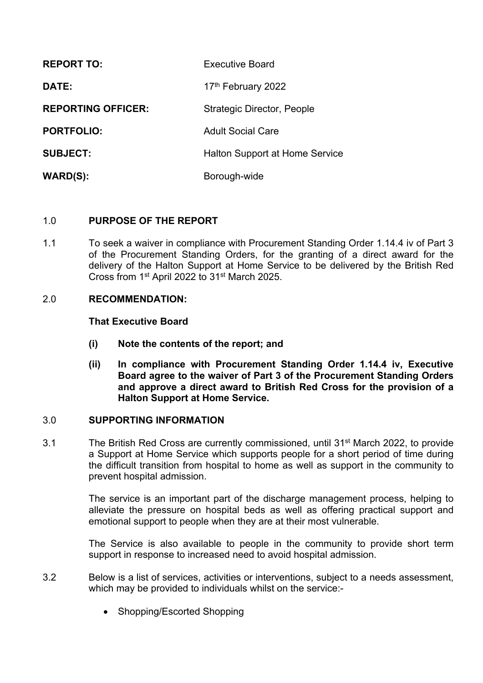| <b>REPORT TO:</b>         | Executive Board                       |
|---------------------------|---------------------------------------|
| <b>DATE:</b>              | 17th February 2022                    |
| <b>REPORTING OFFICER:</b> | Strategic Director, People            |
| <b>PORTFOLIO:</b>         | <b>Adult Social Care</b>              |
| <b>SUBJECT:</b>           | <b>Halton Support at Home Service</b> |
| <b>WARD(S):</b>           | Borough-wide                          |

# 1.0 **PURPOSE OF THE REPORT**

1.1 To seek a waiver in compliance with Procurement Standing Order 1.14.4 iv of Part 3 of the Procurement Standing Orders, for the granting of a direct award for the delivery of the Halton Support at Home Service to be delivered by the British Red Cross from 1 st April 2022 to 31st March 2025.

# 2.0 **RECOMMENDATION:**

### **That Executive Board**

- **(i) Note the contents of the report; and**
- **(ii) In compliance with Procurement Standing Order 1.14.4 iv, Executive Board agree to the waiver of Part 3 of the Procurement Standing Orders and approve a direct award to British Red Cross for the provision of a Halton Support at Home Service.**

### 3.0 **SUPPORTING INFORMATION**

3.1 The British Red Cross are currently commissioned, until 31st March 2022, to provide a Support at Home Service which supports people for a short period of time during the difficult transition from hospital to home as well as support in the community to prevent hospital admission.

> The service is an important part of the discharge management process, helping to alleviate the pressure on hospital beds as well as offering practical support and emotional support to people when they are at their most vulnerable.

> The Service is also available to people in the community to provide short term support in response to increased need to avoid hospital admission.

- 3.2 Below is a list of services, activities or interventions, subject to a needs assessment, which may be provided to individuals whilst on the service:-
	- Shopping/Escorted Shopping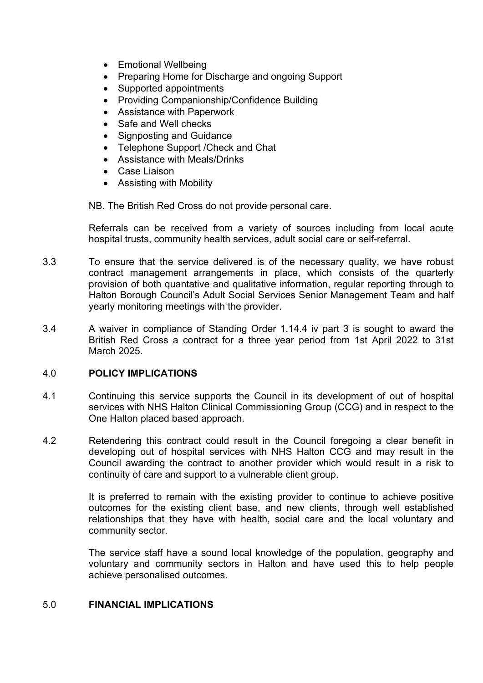- Emotional Wellbeing
- Preparing Home for Discharge and ongoing Support
- Supported appointments
- Providing Companionship/Confidence Building
- Assistance with Paperwork
- Safe and Well checks
- Signposting and Guidance
- Telephone Support /Check and Chat
- Assistance with Meals/Drinks
- Case Liaison
- Assisting with Mobility

NB. The British Red Cross do not provide personal care.

Referrals can be received from a variety of sources including from local acute hospital trusts, community health services, adult social care or self-referral.

- 3.3 To ensure that the service delivered is of the necessary quality, we have robust contract management arrangements in place, which consists of the quarterly provision of both quantative and qualitative information, regular reporting through to Halton Borough Council's Adult Social Services Senior Management Team and half yearly monitoring meetings with the provider.
- 3.4 A waiver in compliance of Standing Order 1.14.4 iv part 3 is sought to award the British Red Cross a contract for a three year period from 1st April 2022 to 31st March 2025.

#### 4.0 **POLICY IMPLICATIONS**

- 4.1 Continuing this service supports the Council in its development of out of hospital services with NHS Halton Clinical Commissioning Group (CCG) and in respect to the One Halton placed based approach.
- 4.2 Retendering this contract could result in the Council foregoing a clear benefit in developing out of hospital services with NHS Halton CCG and may result in the Council awarding the contract to another provider which would result in a risk to continuity of care and support to a vulnerable client group.

It is preferred to remain with the existing provider to continue to achieve positive outcomes for the existing client base, and new clients, through well established relationships that they have with health, social care and the local voluntary and community sector.

The service staff have a sound local knowledge of the population, geography and voluntary and community sectors in Halton and have used this to help people achieve personalised outcomes.

### 5.0 **FINANCIAL IMPLICATIONS**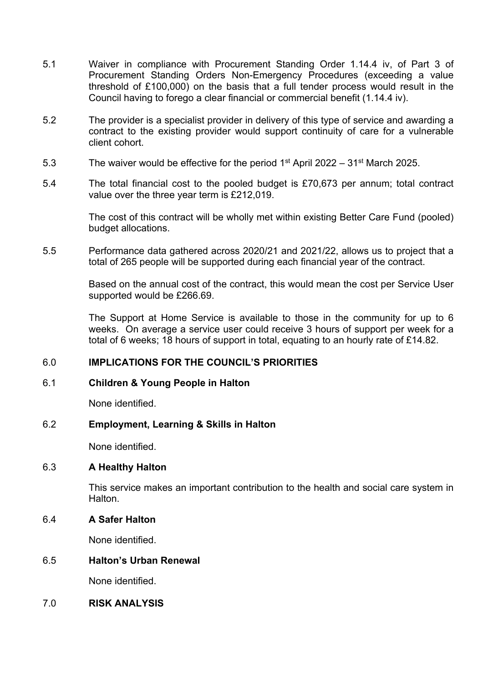- 5.1 Waiver in compliance with Procurement Standing Order 1.14.4 iv, of Part 3 of Procurement Standing Orders Non-Emergency Procedures (exceeding a value threshold of £100,000) on the basis that a full tender process would result in the Council having to forego a clear financial or commercial benefit (1.14.4 iv).
- 5.2 The provider is a specialist provider in delivery of this type of service and awarding a contract to the existing provider would support continuity of care for a vulnerable client cohort.
- 5.3 The waiver would be effective for the period 1<sup>st</sup> April 2022 31<sup>st</sup> March 2025.
- 5.4 The total financial cost to the pooled budget is £70,673 per annum; total contract value over the three year term is £212,019.

The cost of this contract will be wholly met within existing Better Care Fund (pooled) budget allocations.

5.5 Performance data gathered across 2020/21 and 2021/22, allows us to project that a total of 265 people will be supported during each financial year of the contract.

> Based on the annual cost of the contract, this would mean the cost per Service User supported would be £266.69.

> The Support at Home Service is available to those in the community for up to 6 weeks. On average a service user could receive 3 hours of support per week for a total of 6 weeks; 18 hours of support in total, equating to an hourly rate of £14.82.

# 6.0 **IMPLICATIONS FOR THE COUNCIL'S PRIORITIES**

### 6.1 **Children & Young People in Halton**

None identified.

### 6.2 **Employment, Learning & Skills in Halton**

None identified.

#### 6.3 **A Healthy Halton**

This service makes an important contribution to the health and social care system in Halton.

6.4 **A Safer Halton**

None identified.

### 6.5 **Halton's Urban Renewal**

None identified.

7.0 **RISK ANALYSIS**